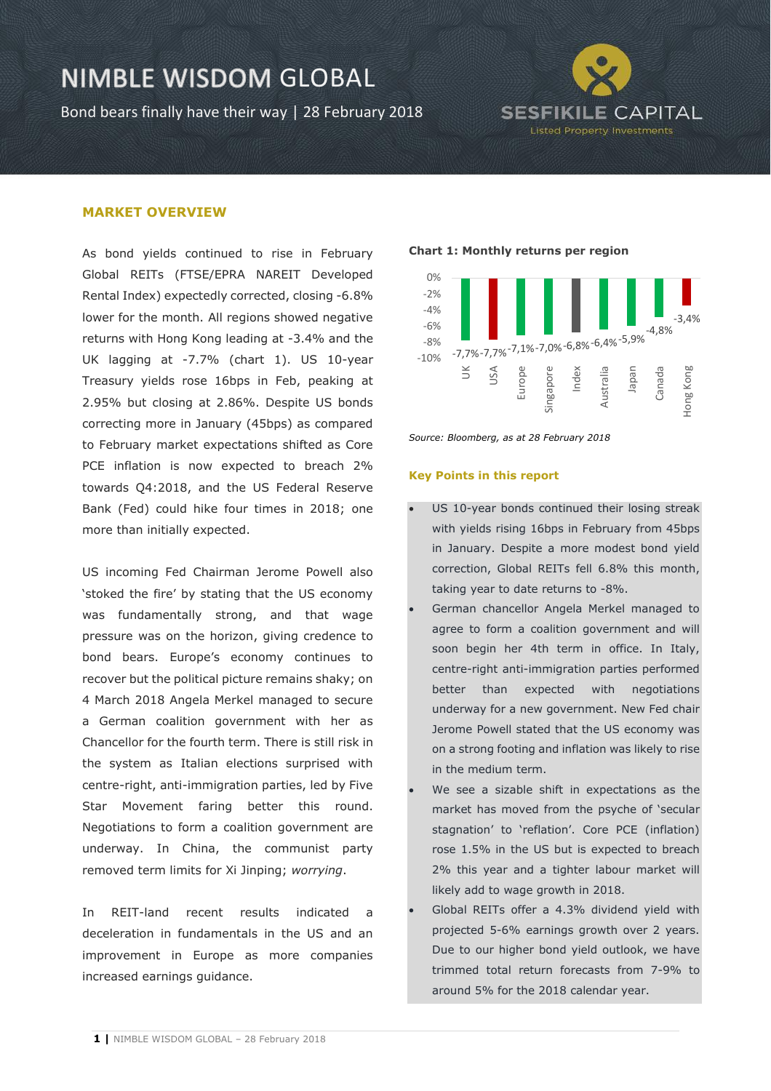Bond bears finally have their way | 28 February 2018



### **MARKET OVERVIEW**

As bond yields continued to rise in February Global REITs (FTSE/EPRA NAREIT Developed Rental Index) expectedly corrected, closing -6.8% lower for the month. All regions showed negative returns with Hong Kong leading at -3.4% and the UK lagging at -7.7% (chart 1). US 10-year Treasury yields rose 16bps in Feb, peaking at 2.95% but closing at 2.86%. Despite US bonds correcting more in January (45bps) as compared to February market expectations shifted as Core PCE inflation is now expected to breach 2% towards Q4:2018, and the US Federal Reserve Bank (Fed) could hike four times in 2018; one more than initially expected.

US incoming Fed Chairman Jerome Powell also 'stoked the fire' by stating that the US economy was fundamentally strong, and that wage pressure was on the horizon, giving credence to bond bears. Europe's economy continues to recover but the political picture remains shaky; on 4 March 2018 Angela Merkel managed to secure a German coalition government with her as Chancellor for the fourth term. There is still risk in the system as Italian elections surprised with centre-right, anti-immigration parties, led by Five Star Movement faring better this round. Negotiations to form a coalition government are underway. In China, the communist party removed term limits for Xi Jinping; *worrying*.

In REIT-land recent results indicated a deceleration in fundamentals in the US and an improvement in Europe as more companies increased earnings guidance.

#### **Chart 1: Monthly returns per region**



*Source: Bloomberg, as at 28 February 2018*

#### **Key Points in this report**

- US 10-year bonds continued their losing streak with yields rising 16bps in February from 45bps in January. Despite a more modest bond yield correction, Global REITs fell 6.8% this month, taking year to date returns to -8%.
- German chancellor Angela Merkel managed to agree to form a coalition government and will soon begin her 4th term in office. In Italy, centre-right anti-immigration parties performed better than expected with negotiations underway for a new government. New Fed chair Jerome Powell stated that the US economy was on a strong footing and inflation was likely to rise in the medium term.
- We see a sizable shift in expectations as the market has moved from the psyche of 'secular stagnation' to 'reflation'. Core PCE (inflation) rose 1.5% in the US but is expected to breach 2% this year and a tighter labour market will likely add to wage growth in 2018.
- Global REITs offer a 4.3% dividend yield with projected 5-6% earnings growth over 2 years. Due to our higher bond yield outlook, we have trimmed total return forecasts from 7-9% to around 5% for the 2018 calendar year.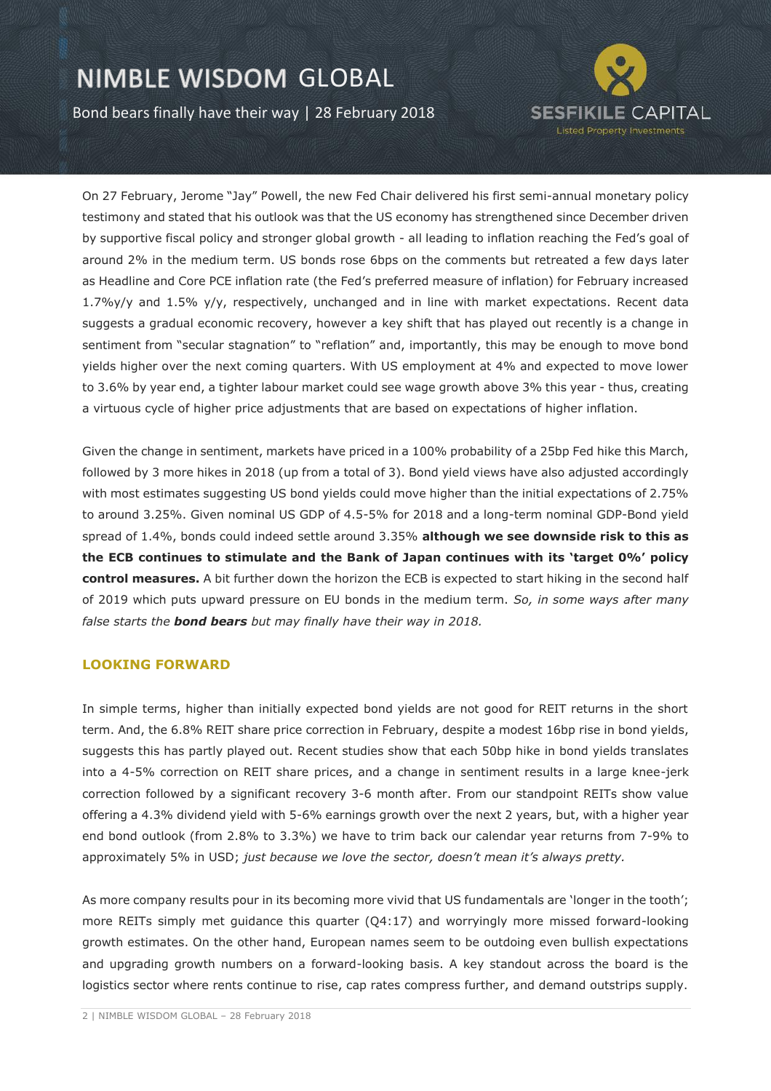Bond bears finally have their way | 28 February 2018



On 27 February, Jerome "Jay" Powell, the new Fed Chair delivered his first semi-annual monetary policy testimony and stated that his outlook was that the US economy has strengthened since December driven by supportive fiscal policy and stronger global growth - all leading to inflation reaching the Fed's goal of around 2% in the medium term. US bonds rose 6bps on the comments but retreated a few days later as Headline and Core PCE inflation rate (the Fed's preferred measure of inflation) for February increased 1.7%y/y and 1.5% y/y, respectively, unchanged and in line with market expectations. Recent data suggests a gradual economic recovery, however a key shift that has played out recently is a change in sentiment from "secular stagnation" to "reflation" and, importantly, this may be enough to move bond yields higher over the next coming quarters. With US employment at 4% and expected to move lower to 3.6% by year end, a tighter labour market could see wage growth above 3% this year - thus, creating a virtuous cycle of higher price adjustments that are based on expectations of higher inflation.

Given the change in sentiment, markets have priced in a 100% probability of a 25bp Fed hike this March, followed by 3 more hikes in 2018 (up from a total of 3). Bond yield views have also adjusted accordingly with most estimates suggesting US bond yields could move higher than the initial expectations of 2.75% to around 3.25%. Given nominal US GDP of 4.5-5% for 2018 and a long-term nominal GDP-Bond yield spread of 1.4%, bonds could indeed settle around 3.35% **although we see downside risk to this as the ECB continues to stimulate and the Bank of Japan continues with its 'target 0%' policy control measures.** A bit further down the horizon the ECB is expected to start hiking in the second half of 2019 which puts upward pressure on EU bonds in the medium term. *So, in some ways after many false starts the bond bears but may finally have their way in 2018.*

### **LOOKING FORWARD**

In simple terms, higher than initially expected bond yields are not good for REIT returns in the short term. And, the 6.8% REIT share price correction in February, despite a modest 16bp rise in bond yields, suggests this has partly played out. Recent studies show that each 50bp hike in bond yields translates into a 4-5% correction on REIT share prices, and a change in sentiment results in a large knee-jerk correction followed by a significant recovery 3-6 month after. From our standpoint REITs show value offering a 4.3% dividend yield with 5-6% earnings growth over the next 2 years, but, with a higher year end bond outlook (from 2.8% to 3.3%) we have to trim back our calendar year returns from 7-9% to approximately 5% in USD; *just because we love the sector, doesn't mean it's always pretty.*

As more company results pour in its becoming more vivid that US fundamentals are 'longer in the tooth'; more REITs simply met guidance this quarter (Q4:17) and worryingly more missed forward-looking growth estimates. On the other hand, European names seem to be outdoing even bullish expectations and upgrading growth numbers on a forward-looking basis. A key standout across the board is the logistics sector where rents continue to rise, cap rates compress further, and demand outstrips supply.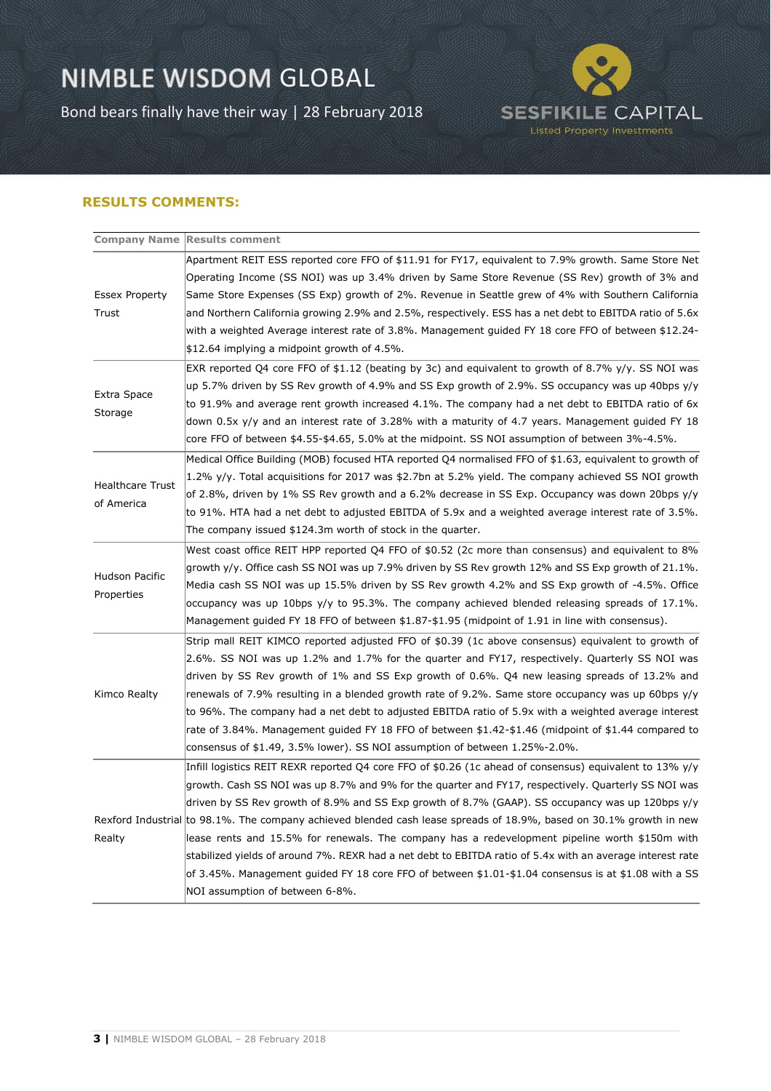Bond bears finally have their way | 28 February 2018



### **RESULTS COMMENTS:**

|                                       | <b>Company Name Results comment</b>                                                                                 |
|---------------------------------------|---------------------------------------------------------------------------------------------------------------------|
| <b>Essex Property</b><br>Trust        | Apartment REIT ESS reported core FFO of \$11.91 for FY17, equivalent to 7.9% growth. Same Store Net                 |
|                                       | Operating Income (SS NOI) was up 3.4% driven by Same Store Revenue (SS Rev) growth of 3% and                        |
|                                       | Same Store Expenses (SS Exp) growth of 2%. Revenue in Seattle grew of 4% with Southern California                   |
|                                       | and Northern California growing 2.9% and 2.5%, respectively. ESS has a net debt to EBITDA ratio of 5.6x             |
|                                       | with a weighted Average interest rate of 3.8%. Management guided FY 18 core FFO of between \$12.24-                 |
|                                       | $$12.64$ implying a midpoint growth of 4.5%.                                                                        |
| Extra Space<br>Storage                | EXR reported Q4 core FFO of \$1.12 (beating by 3c) and equivalent to growth of 8.7% y/y. SS NOI was                 |
|                                       | up 5.7% driven by SS Rev growth of 4.9% and SS Exp growth of 2.9%. SS occupancy was up 40bps $y/y$                  |
|                                       | to 91.9% and average rent growth increased 4.1%. The company had a net debt to EBITDA ratio of 6x                   |
|                                       | down 0.5x y/y and an interest rate of 3.28% with a maturity of 4.7 years. Management guided FY 18                   |
|                                       | core FFO of between \$4.55-\$4.65, 5.0% at the midpoint. SS NOI assumption of between 3%-4.5%.                      |
| <b>Healthcare Trust</b><br>of America | Medical Office Building (MOB) focused HTA reported Q4 normalised FFO of \$1.63, equivalent to growth of             |
|                                       | 1.2% $y/y$ . Total acquisitions for 2017 was \$2.7bn at 5.2% yield. The company achieved SS NOI growth              |
|                                       | of 2.8%, driven by 1% SS Rev growth and a 6.2% decrease in SS Exp. Occupancy was down 20bps y/y                     |
|                                       | to 91%. HTA had a net debt to adjusted EBITDA of 5.9x and a weighted average interest rate of 3.5%.                 |
|                                       | The company issued \$124.3m worth of stock in the quarter.                                                          |
|                                       | West coast office REIT HPP reported Q4 FFO of \$0.52 (2c more than consensus) and equivalent to 8%                  |
| Hudson Pacific<br>Properties          | growth y/y. Office cash SS NOI was up 7.9% driven by SS Rev growth 12% and SS Exp growth of 21.1%.                  |
|                                       | Media cash SS NOI was up 15.5% driven by SS Rev growth 4.2% and SS Exp growth of -4.5%. Office                      |
|                                       | occupancy was up 10bps $y/y$ to 95.3%. The company achieved blended releasing spreads of 17.1%.                     |
|                                       | Management guided FY 18 FFO of between \$1.87-\$1.95 (midpoint of 1.91 in line with consensus).                     |
|                                       | Strip mall REIT KIMCO reported adjusted FFO of \$0.39 (1c above consensus) equivalent to growth of                  |
| Kimco Realty                          | 2.6%. SS NOI was up 1.2% and 1.7% for the quarter and FY17, respectively. Quarterly SS NOI was                      |
|                                       | driven by SS Rev growth of 1% and SS Exp growth of 0.6%. Q4 new leasing spreads of 13.2% and                        |
|                                       | renewals of 7.9% resulting in a blended growth rate of 9.2%. Same store occupancy was up 60bps $y/y$                |
|                                       | to 96%. The company had a net debt to adjusted EBITDA ratio of 5.9x with a weighted average interest                |
|                                       | rate of 3.84%. Management guided FY 18 FFO of between \$1.42-\$1.46 (midpoint of \$1.44 compared to                 |
|                                       | consensus of \$1.49, 3.5% lower). SS NOI assumption of between 1.25%-2.0%.                                          |
|                                       | Infill logistics REIT REXR reported Q4 core FFO of \$0.26 (1c ahead of consensus) equivalent to 13% y/y             |
|                                       | growth. Cash SS NOI was up 8.7% and 9% for the quarter and FY17, respectively. Quarterly SS NOI was                 |
|                                       | driven by SS Rev growth of 8.9% and SS Exp growth of 8.7% (GAAP). SS occupancy was up 120bps $y/y$                  |
|                                       | Rexford Industrial to 98.1%. The company achieved blended cash lease spreads of 18.9%, based on 30.1% growth in new |
| Realty                                | lease rents and 15.5% for renewals. The company has a redevelopment pipeline worth \$150m with                      |
|                                       | stabilized yields of around 7%. REXR had a net debt to EBITDA ratio of 5.4x with an average interest rate           |
|                                       | of 3.45%. Management guided FY 18 core FFO of between \$1.01-\$1.04 consensus is at \$1.08 with a SS                |
|                                       | NOI assumption of between 6-8%.                                                                                     |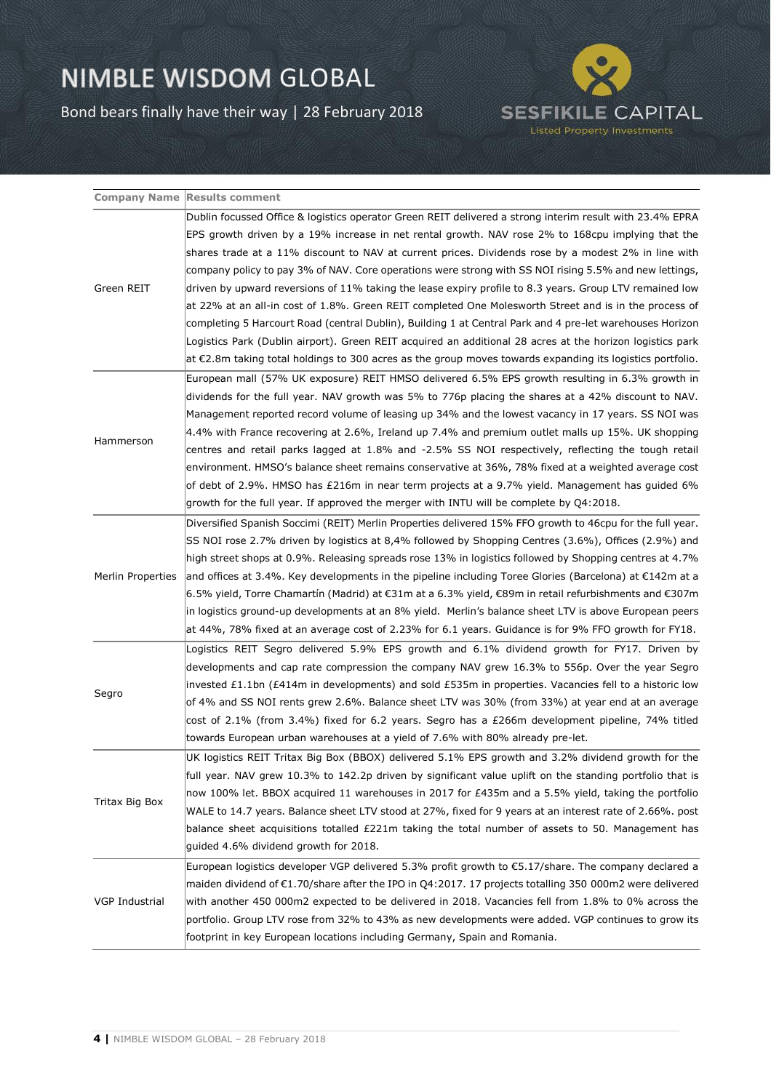Bond bears finally have their way | 28 February 2018



|                       | <b>Company Name Results comment</b>                                                                                         |
|-----------------------|-----------------------------------------------------------------------------------------------------------------------------|
| Green REIT            | Dublin focussed Office & logistics operator Green REIT delivered a strong interim result with 23.4% EPRA                    |
|                       | EPS growth driven by a 19% increase in net rental growth. NAV rose 2% to 168cpu implying that the                           |
|                       | shares trade at a 11% discount to NAV at current prices. Dividends rose by a modest 2% in line with                         |
|                       | company policy to pay 3% of NAV. Core operations were strong with SS NOI rising 5.5% and new lettings,                      |
|                       | driven by upward reversions of 11% taking the lease expiry profile to 8.3 years. Group LTV remained low                     |
|                       | at 22% at an all-in cost of 1.8%. Green REIT completed One Molesworth Street and is in the process of                       |
|                       | completing 5 Harcourt Road (central Dublin), Building 1 at Central Park and 4 pre-let warehouses Horizon                    |
|                       | Logistics Park (Dublin airport). Green REIT acquired an additional 28 acres at the horizon logistics park                   |
|                       | $\vert$ at $\epsilon$ 2.8m taking total holdings to 300 acres as the group moves towards expanding its logistics portfolio. |
|                       | European mall (57% UK exposure) REIT HMSO delivered 6.5% EPS growth resulting in 6.3% growth in                             |
|                       | dividends for the full year. NAV growth was 5% to 776p placing the shares at a 42% discount to NAV.                         |
|                       | Management reported record volume of leasing up 34% and the lowest vacancy in 17 years. SS NOI was                          |
|                       | 4.4% with France recovering at 2.6%, Ireland up 7.4% and premium outlet malls up 15%. UK shopping                           |
| Hammerson             | centres and retail parks lagged at 1.8% and -2.5% SS NOI respectively, reflecting the tough retail                          |
|                       | environment. HMSO's balance sheet remains conservative at 36%, 78% fixed at a weighted average cost                         |
|                       | of debt of 2.9%. HMSO has £216m in near term projects at a 9.7% yield. Management has guided 6%                             |
|                       | growth for the full year. If approved the merger with INTU will be complete by Q4:2018.                                     |
|                       | Diversified Spanish Soccimi (REIT) Merlin Properties delivered 15% FFO growth to 46cpu for the full year.                   |
|                       | SS NOI rose 2.7% driven by logistics at 8,4% followed by Shopping Centres (3.6%), Offices (2.9%) and                        |
|                       | high street shops at 0.9%. Releasing spreads rose 13% in logistics followed by Shopping centres at 4.7%                     |
| Merlin Properties     | and offices at 3.4%. Key developments in the pipeline including Toree Glories (Barcelona) at $E$ 142m at a                  |
|                       | 6.5% yield, Torre Chamartín (Madrid) at €31m at a 6.3% yield, €89m in retail refurbishments and €307m                       |
|                       | in logistics ground-up developments at an 8% yield. Merlin's balance sheet LTV is above European peers                      |
|                       | at 44%, 78% fixed at an average cost of 2.23% for 6.1 years. Guidance is for 9% FFO growth for FY18.                        |
|                       | Logistics REIT Segro delivered 5.9% EPS growth and 6.1% dividend growth for FY17. Driven by                                 |
| Segro                 | developments and cap rate compression the company NAV grew 16.3% to 556p. Over the year Segro                               |
|                       | invested £1.1bn (£414m in developments) and sold £535m in properties. Vacancies fell to a historic low                      |
|                       | of 4% and SS NOI rents grew 2.6%. Balance sheet LTV was 30% (from 33%) at year end at an average                            |
|                       | cost of 2.1% (from 3.4%) fixed for 6.2 years. Segro has a £266m development pipeline, 74% titled                            |
|                       | towards European urban warehouses at a yield of 7.6% with 80% already pre-let.                                              |
| Tritax Big Box        | UK logistics REIT Tritax Big Box (BBOX) delivered 5.1% EPS growth and 3.2% dividend growth for the                          |
|                       | full year. NAV grew 10.3% to 142.2p driven by significant value uplift on the standing portfolio that is                    |
|                       | now 100% let. BBOX acquired 11 warehouses in 2017 for £435m and a 5.5% yield, taking the portfolio                          |
|                       | WALE to 14.7 years. Balance sheet LTV stood at 27%, fixed for 9 years at an interest rate of 2.66%. post                    |
|                       | balance sheet acquisitions totalled £221m taking the total number of assets to 50. Management has                           |
|                       | guided 4.6% dividend growth for 2018.                                                                                       |
| <b>VGP Industrial</b> | European logistics developer VGP delivered 5.3% profit growth to €5.17/share. The company declared a                        |
|                       | maiden dividend of $\epsilon$ 1.70/share after the IPO in Q4:2017. 17 projects totalling 350 000m2 were delivered           |
|                       | with another 450 000m2 expected to be delivered in 2018. Vacancies fell from 1.8% to 0% across the                          |
|                       | portfolio. Group LTV rose from 32% to 43% as new developments were added. VGP continues to grow its                         |
|                       | footprint in key European locations including Germany, Spain and Romania.                                                   |